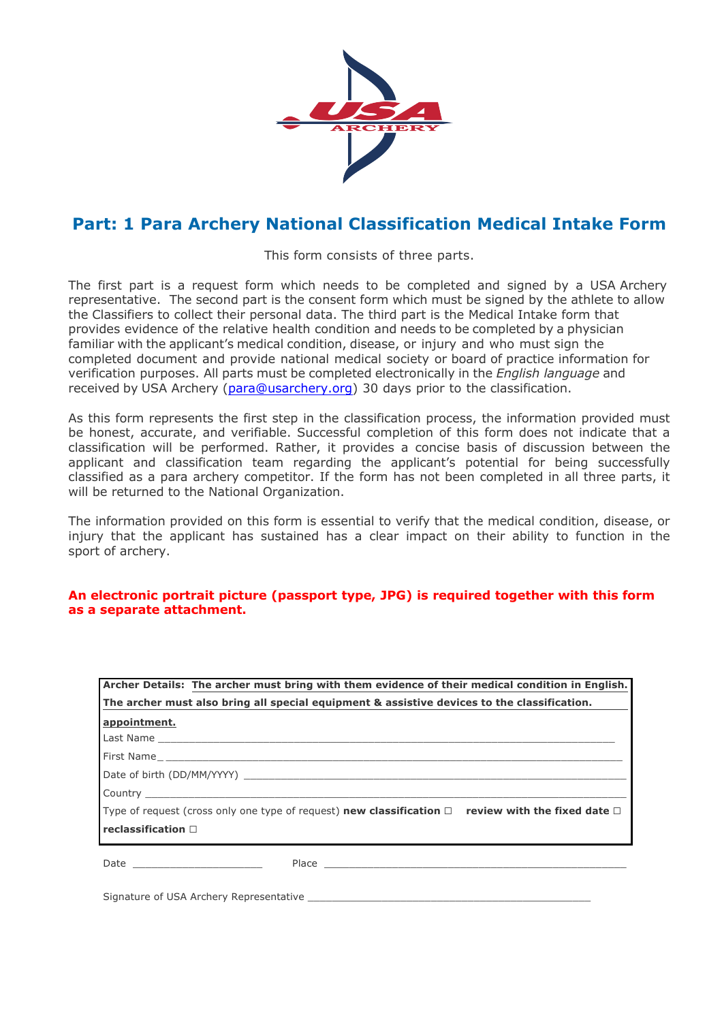

## **Part: 1 Para Archery National Classification Medical Intake Form**

This form consists of three parts.

The first part is a request form which needs to be completed and signed by a USA Archery representative. The second part is the consent form which must be signed by the athlete to allow the Classifiers to collect their personal data. The third part is the Medical Intake form that provides evidence of the relative health condition and needs to be completed by a physician familiar with the applicant's medical condition, disease, or injury and who must sign the completed document and provide national medical society or board of practice information for verification purposes. All parts must be completed electronically in the *English language* and received by USA Archery (para@usarchery.org) 30 days prior to the classification.

As this form represents the first step in the classification process, the information provided must be honest, accurate, and verifiable. Successful completion of this form does not indicate that a classification will be performed. Rather, it provides a concise basis of discussion between the applicant and classification team regarding the applicant's potential for being successfully classified as a para archery competitor. If the form has not been completed in all three parts, it will be returned to the National Organization.

The information provided on this form is essential to verify that the medical condition, disease, or injury that the applicant has sustained has a clear impact on their ability to function in the sport of archery.

#### **An electronic portrait picture (passport type, JPG) is required together with this form as a separate attachment.**

| Archer Details: The archer must bring with them evidence of their medical condition in English.                            |  |  |
|----------------------------------------------------------------------------------------------------------------------------|--|--|
| The archer must also bring all special equipment & assistive devices to the classification.                                |  |  |
| appointment.                                                                                                               |  |  |
|                                                                                                                            |  |  |
|                                                                                                                            |  |  |
|                                                                                                                            |  |  |
|                                                                                                                            |  |  |
| Type of request (cross only one type of request) <b>new classification</b> $\Box$ <b>review with the fixed date</b> $\Box$ |  |  |
| reclassification $\Box$                                                                                                    |  |  |
| Date _________________________                                                                                             |  |  |

Signature of USA Archery Representative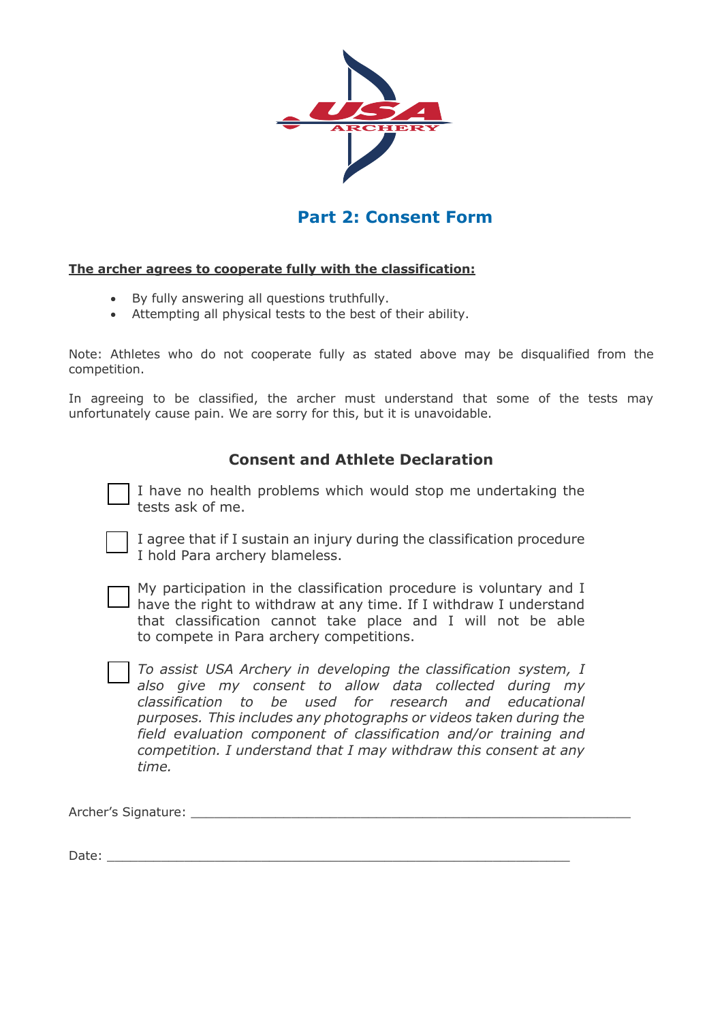

## **Part 2: Consent Form**

### **The archer agrees to cooperate fully with the classification:**

- By fully answering all questions truthfully.
- Attempting all physical tests to the best of their ability.

Note: Athletes who do not cooperate fully as stated above may be disqualified from the competition.

In agreeing to be classified, the archer must understand that some of the tests may unfortunately cause pain. We are sorry for this, but it is unavoidable.

### **Consent and Athlete Declaration**

I have no health problems which would stop me undertaking the tests ask of me.

I agree that if I sustain an injury during the classification procedure I hold Para archery blameless.

My participation in the classification procedure is voluntary and I I have the right to withdraw at any time. If I withdraw I understand that classification cannot take place and I will not be able to compete in Para archery competitions.

*To assist USA Archery in developing the classification system, I also give my consent to allow data collected during my classification to be used for research and educational purposes. This includes any photographs or videos taken during the field evaluation component of classification and/or training and competition. I understand that I may withdraw this consent at any time.*

Archer's Signature: \_\_\_\_\_\_\_\_\_\_\_\_\_\_\_\_\_\_\_\_\_\_\_\_\_\_\_\_\_\_\_\_\_\_\_\_\_\_\_\_\_\_\_\_\_\_\_\_\_\_\_\_\_\_\_\_\_

Date: \_\_\_\_\_\_\_\_\_\_\_\_\_\_\_\_\_\_\_\_\_\_\_\_\_\_\_\_\_\_\_\_\_\_\_\_\_\_\_\_\_\_\_\_\_\_\_\_\_\_\_\_\_\_\_\_\_\_\_\_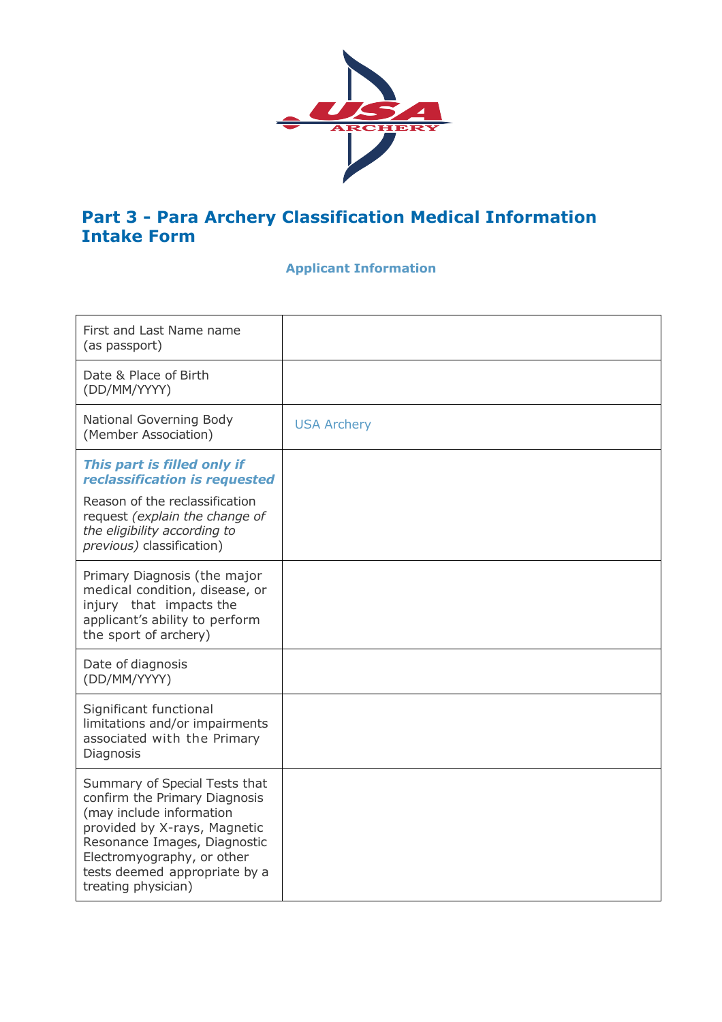

## **Part 3 - Para Archery Classification Medical Information Intake Form**

## **Applicant Information**

| First and Last Name name<br>(as passport)                                                                                                                                                                                                        |                    |
|--------------------------------------------------------------------------------------------------------------------------------------------------------------------------------------------------------------------------------------------------|--------------------|
| Date & Place of Birth<br>(DD/MM/YYYY)                                                                                                                                                                                                            |                    |
| National Governing Body<br>(Member Association)                                                                                                                                                                                                  | <b>USA Archery</b> |
| This part is filled only if<br>reclassification is requested<br>Reason of the reclassification<br>request (explain the change of<br>the eligibility according to<br>previous) classification)                                                    |                    |
| Primary Diagnosis (the major<br>medical condition, disease, or<br>injury that impacts the<br>applicant's ability to perform<br>the sport of archery)                                                                                             |                    |
| Date of diagnosis<br>(DD/MM/YYYY)                                                                                                                                                                                                                |                    |
| Significant functional<br>limitations and/or impairments<br>associated with the Primary<br>Diagnosis                                                                                                                                             |                    |
| Summary of Special Tests that<br>confirm the Primary Diagnosis<br>(may include information<br>provided by X-rays, Magnetic<br>Resonance Images, Diagnostic<br>Electromyography, or other<br>tests deemed appropriate by a<br>treating physician) |                    |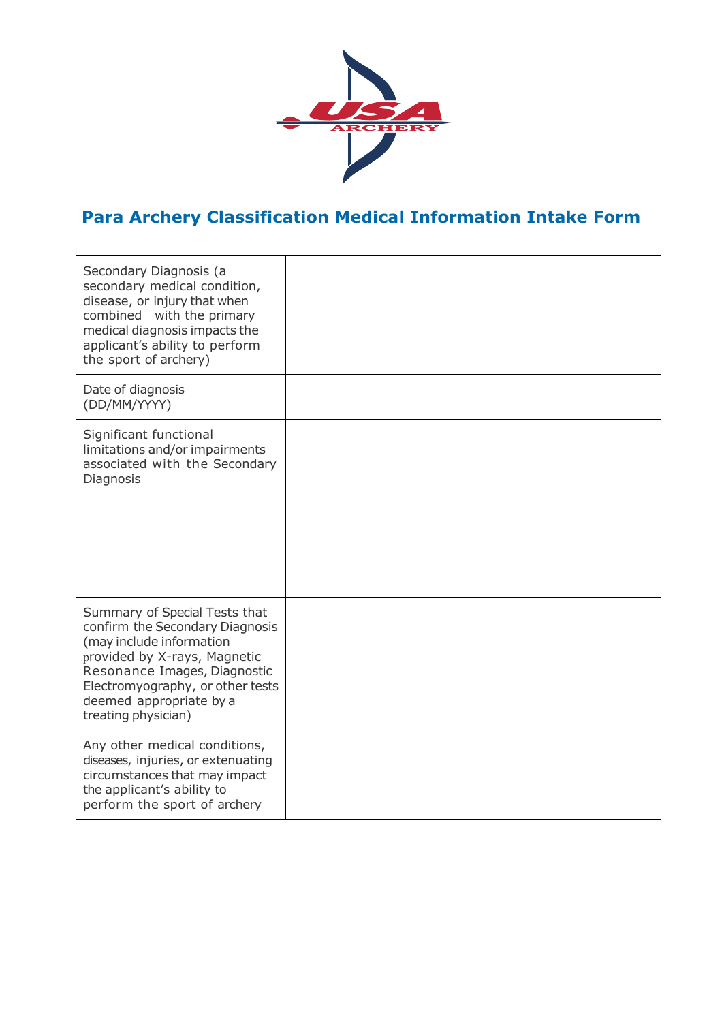

# **Para Archery Classification Medical Information Intake Form**

| Secondary Diagnosis (a<br>secondary medical condition,<br>disease, or injury that when<br>combined<br>with the primary<br>medical diagnosis impacts the<br>applicant's ability to perform<br>the sport of archery)                                 |  |
|----------------------------------------------------------------------------------------------------------------------------------------------------------------------------------------------------------------------------------------------------|--|
| Date of diagnosis<br>(DD/MM/YYYY)                                                                                                                                                                                                                  |  |
| Significant functional<br>limitations and/or impairments<br>associated with the Secondary<br>Diagnosis                                                                                                                                             |  |
| Summary of Special Tests that<br>confirm the Secondary Diagnosis<br>(may include information<br>provided by X-rays, Magnetic<br>Resonance Images, Diagnostic<br>Electromyography, or other tests<br>deemed appropriate by a<br>treating physician) |  |
| Any other medical conditions,<br>diseases, injuries, or extenuating<br>circumstances that may impact<br>the applicant's ability to<br>perform the sport of archery                                                                                 |  |